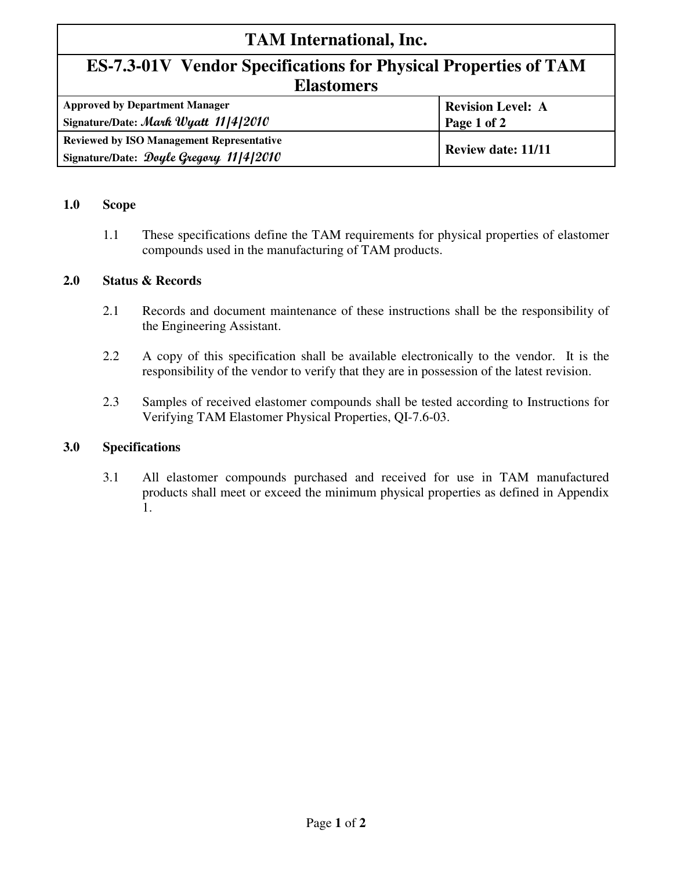## **TAM International, Inc.**

## **ES-7.3-01V Vendor Specifications for Physical Properties of TAM Elastomers**

| <b>Approved by Department Manager</b><br>Signature/Date: Mark Wyatt 11/4/2010 | <b>Revision Level: A</b><br>Page 1 of 2 |  |
|-------------------------------------------------------------------------------|-----------------------------------------|--|
|                                                                               |                                         |  |
| <b>Reviewed by ISO Management Representative</b>                              | <b>Review date: 11/11</b>               |  |
| Signature/Date: Doyle Gregory 11/4/2010                                       |                                         |  |

#### **1.0 Scope**

1.1 These specifications define the TAM requirements for physical properties of elastomer compounds used in the manufacturing of TAM products.

#### **2.0 Status & Records**

- 2.1 Records and document maintenance of these instructions shall be the responsibility of the Engineering Assistant.
- 2.2 A copy of this specification shall be available electronically to the vendor. It is the responsibility of the vendor to verify that they are in possession of the latest revision.
- 2.3 Samples of received elastomer compounds shall be tested according to Instructions for Verifying TAM Elastomer Physical Properties, QI-7.6-03.

#### **3.0 Specifications**

3.1 All elastomer compounds purchased and received for use in TAM manufactured products shall meet or exceed the minimum physical properties as defined in Appendix 1.